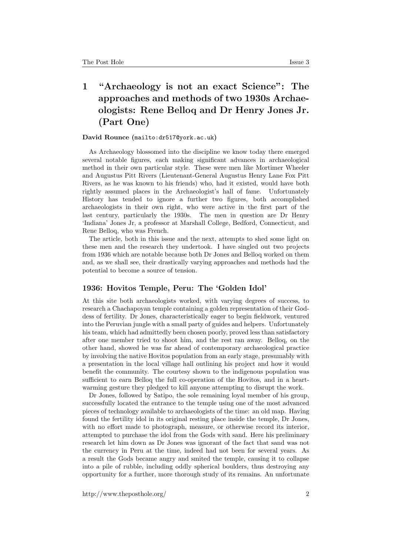## 1 "Archaeology is not an exact Science": The approaches and methods of two 1930s Archaeologists: Rene Belloq and Dr Henry Jones Jr. (Part One)

## David Rounce (<mailto:dr517@york.ac.uk>)

As Archaeology blossomed into the discipline we know today there emerged several notable figures, each making significant advances in archaeological method in their own particular style. These were men like Mortimer Wheeler and Augustus Pitt Rivers (Lieutenant-General Augustus Henry Lane Fox Pitt Rivers, as he was known to his friends) who, had it existed, would have both rightly assumed places in the Archaeologist's hall of fame. Unfortunately History has tended to ignore a further two figures, both accomplished archaeologists in their own right, who were active in the first part of the last century, particularly the 1930s. The men in question are Dr Henry 'Indiana' Jones Jr, a professor at Marshall College, Bedford, Connecticut, and Rene Belloq, who was French.

The article, both in this issue and the next, attempts to shed some light on these men and the research they undertook. I have singled out two projects from 1936 which are notable because both Dr Jones and Belloq worked on them and, as we shall see, their drastically varying approaches and methods had the potential to become a source of tension.

## 1936: Hovitos Temple, Peru: The 'Golden Idol'

At this site both archaeologists worked, with varying degrees of success, to research a Chachapoyan temple containing a golden representation of their Goddess of fertility. Dr Jones, characteristically eager to begin fieldwork, ventured into the Peruvian jungle with a small party of guides and helpers. Unfortunately his team, which had admittedly been chosen poorly, proved less than satisfactory after one member tried to shoot him, and the rest ran away. Belloq, on the other hand, showed he was far ahead of contemporary archaeological practice by involving the native Hovitos population from an early stage, presumably with a presentation in the local village hall outlining his project and how it would benefit the community. The courtesy shown to the indigenous population was sufficient to earn Belloq the full co-operation of the Hovitos, and in a heartwarming gesture they pledged to kill anyone attempting to disrupt the work.

Dr Jones, followed by Satipo, the sole remaining loyal member of his group, successfully located the entrance to the temple using one of the most advanced pieces of technology available to archaeologists of the time: an old map. Having found the fertility idol in its original resting place inside the temple, Dr Jones, with no effort made to photograph, measure, or otherwise record its interior, attempted to purchase the idol from the Gods with sand. Here his preliminary research let him down as Dr Jones was ignorant of the fact that sand was not the currency in Peru at the time, indeed had not been for several years. As a result the Gods became angry and smited the temple, causing it to collapse into a pile of rubble, including oddly spherical boulders, thus destroying any opportunity for a further, more thorough study of its remains. An unfortunate

http://www.theposthole.org/ 2